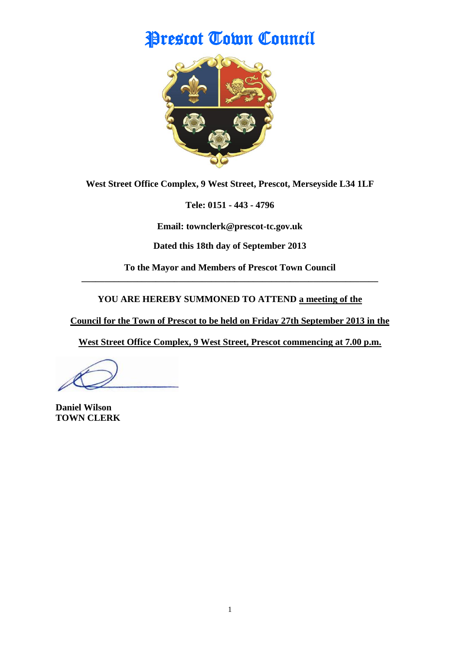# Prescot Town Council



**West Street Office Complex, 9 West Street, Prescot, Merseyside L34 1LF**

**Tele: 0151 - 443 - 4796**

**Email: townclerk@prescot-tc.gov.uk**

**Dated this 18th day of September 2013**

**To the Mayor and Members of Prescot Town Council \_\_\_\_\_\_\_\_\_\_\_\_\_\_\_\_\_\_\_\_\_\_\_\_\_\_\_\_\_\_\_\_\_\_\_\_\_\_\_\_\_\_\_\_\_\_\_\_\_\_\_\_\_\_\_\_\_\_\_\_\_\_\_\_**

**YOU ARE HEREBY SUMMONED TO ATTEND a meeting of the** 

**Council for the Town of Prescot to be held on Friday 27th September 2013 in the**

**West Street Office Complex, 9 West Street, Prescot commencing at 7.00 p.m.**

**Daniel Wilson TOWN CLERK**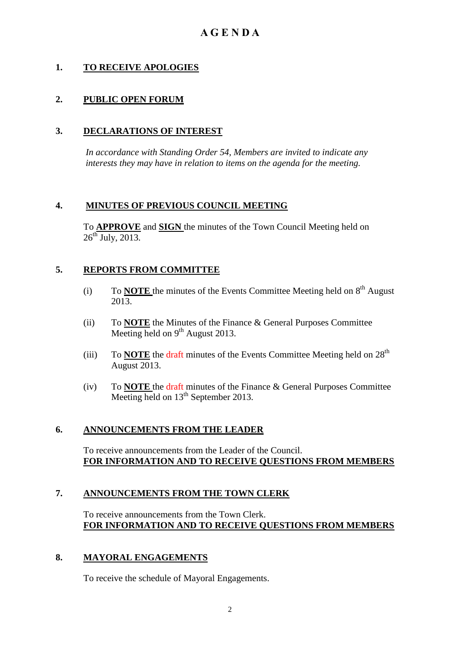# **1. TO RECEIVE APOLOGIES**

# **2. PUBLIC OPEN FORUM**

## **3. DECLARATIONS OF INTEREST**

 *In accordance with Standing Order 54, Members are invited to indicate any interests they may have in relation to items on the agenda for the meeting.*

## **4. MINUTES OF PREVIOUS COUNCIL MEETING**

To **APPROVE** and **SIGN** the minutes of the Town Council Meeting held on  $26^{\text{th}}$  July, 2013.

## **5. REPORTS FROM COMMITTEE**

- (i) To **NOTE** the minutes of the Events Committee Meeting held on  $8<sup>th</sup>$  August 2013.
- (ii) To **NOTE** the Minutes of the Finance & General Purposes Committee Meeting held on  $9^{th}$  August 2013.
- (iii) To **NOTE** the draft minutes of the Events Committee Meeting held on  $28<sup>th</sup>$ August 2013.
- (iv) To **NOTE** the draft minutes of the Finance & General Purposes Committee Meeting held on  $13<sup>th</sup>$  September 2013.

#### **6. ANNOUNCEMENTS FROM THE LEADER**

To receive announcements from the Leader of the Council. **FOR INFORMATION AND TO RECEIVE QUESTIONS FROM MEMBERS**

#### **7. ANNOUNCEMENTS FROM THE TOWN CLERK**

To receive announcements from the Town Clerk. **FOR INFORMATION AND TO RECEIVE QUESTIONS FROM MEMBERS**

#### **8. MAYORAL ENGAGEMENTS**

To receive the schedule of Mayoral Engagements.